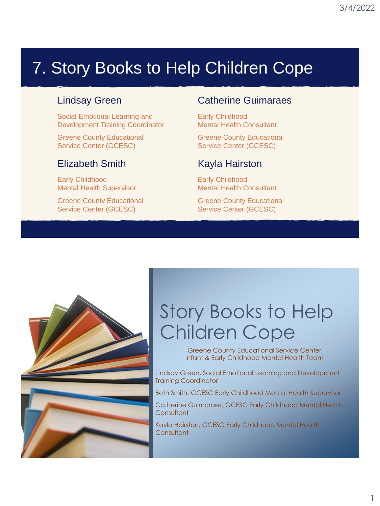# 7. Story Books to Help Children Cope

#### Lindsay Green

Social Emotional Learning and Development Training Coordinator

Greene County Educational Service Center (GCESC)

#### Elizabeth Smith

Early Childhood Mental Health Supervisor

Greene County Educational Service Center (GCESC)

#### Catherine Guimaraes

Early Childhood Mental Health Consultant

Greene County Educational Service Center (GCESC)

#### Kayla Hairston

Early Childhood Mental Health Consultant

Greene County Educational Service Center (GCESC)



# Story Books to Help Children Cope

Greene County Educational Service Center Infant & Early Childhood Mental Health Team

Lindsay Green, Social Emotional Learning and Development Training Coordinator

Beth Smith, GCESC Early Childhood Mental Health Supervisor

Catherine Guimaraes, GCESC Early Childhood Mental Health **Consultant** 

Kayla Hairston, GCESC Early Childhood Mental Health **Consultant**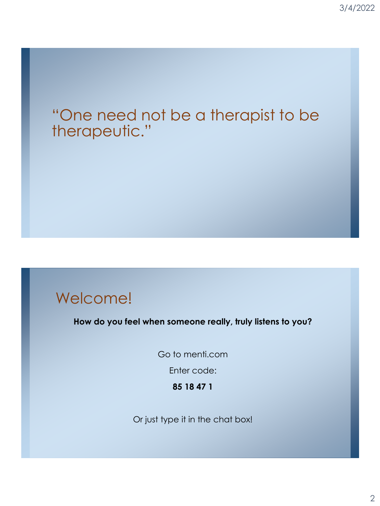### "One need not be a therapist to be therapeutic."

### Welcome!

**How do you feel when someone really, truly listens to you?**

Go to menti.com

Enter code:

**85 18 47 1**

Or just type it in the chat box!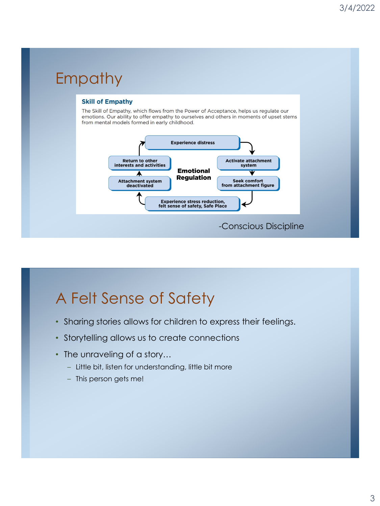#### Empathy **Skill of Empathy** The Skill of Empathy, which flows from the Power of Acceptance, helps us regulate our emotions. Our ability to offer empathy to ourselves and others in moments of upset stems from mental models formed in early childhood. **Experience distress** Return to other<br>interests and activities **Activate attachment** system **Emotional** л **Regulation** Attachment system<br>deactivated Seek comfort<br>from attachment figure **Experience stress reduction,<br>felt sense of safety, Safe Place** -Conscious Discipline

# A Felt Sense of Safety

- Sharing stories allows for children to express their feelings.
- Storytelling allows us to create connections
- The unraveling of a story...
	- Little bit, listen for understanding, little bit more
	- This person gets me!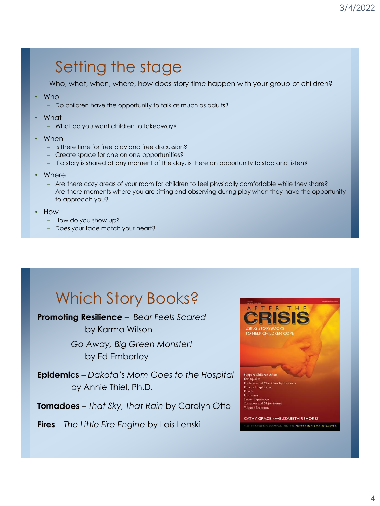## Setting the stage

Who, what, when, where, how does story time happen with your group of children?

- Who
	- Do children have the opportunity to talk as much as adults?
- What
	- What do you want children to takeaway?
- When
	- Is there time for free play and free discussion?
	- Create space for one on one opportunities?
	- If a story is shared at any moment of the day, is there an opportunity to stop and listen?
- Where
	- Are there cozy areas of your room for children to feel physically comfortable while they share?
	- Are there moments where you are sitting and observing during play when they have the opportunity to approach you?
- How
	- How do you show up?
	- Does your face match your heart?

## Which Story Books?

**Promoting Resilience** – *Bear Feels Scared*  by Karma Wilson

> *Go Away, Big Green Monster!*  by Ed Emberley

**Epidemics** – *Dakota's Mom Goes to the Hospital*  by Annie Thiel, Ph.D.

**Tornadoes** – *That Sky, That Rain* by Carolyn Otto

**Fires** – *The Little Fire Engine* by Lois Lenski

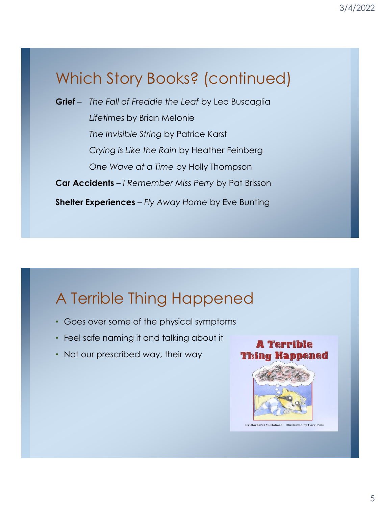# Which Story Books? (continued)

**Grief** – *The Fall of Freddie the Leaf* by Leo Buscaglia *Lifetimes* by Brian Melonie *The Invisible String* by Patrice Karst *Crying is Like the Rain* by Heather Feinberg *One Wave at a Time* by Holly Thompson **Car Accidents** – *I Remember Miss Perry* by Pat Brisson **Shelter Experiences** – *Fly Away Home* by Eve Bunting

## A Terrible Thing Happened

- Goes over some of the physical symptoms
- Feel safe naming it and talking about it
- Not our prescribed way, their way

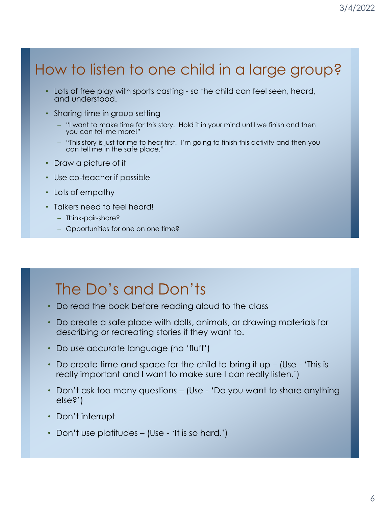### How to listen to one child in a large group?

- Lots of free play with sports casting so the child can feel seen, heard, and understood.
- Sharing time in group setting
	- "I want to make time for this story. Hold it in your mind until we finish and then you can tell me more!"
	- "This story is just for me to hear first. I'm going to finish this activity and then you can tell me in the safe place."
- Draw a picture of it
- Use co-teacher if possible
- Lots of empathy
- Talkers need to feel heard!
	- Think-pair-share?
	- Opportunities for one on one time?

### The Do's and Don'ts

- Do read the book before reading aloud to the class
- Do create a safe place with dolls, animals, or drawing materials for describing or recreating stories if they want to.
- Do use accurate language (no 'fluff')
- Do create time and space for the child to bring it up (Use 'This is really important and I want to make sure I can really listen.')
- Don't ask too many questions (Use 'Do you want to share anything else?')
- Don't interrupt
- Don't use platitudes (Use 'It is so hard.')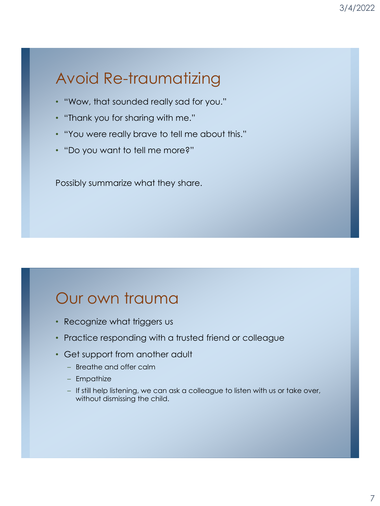# Avoid Re-traumatizing

- "Wow, that sounded really sad for you."
- "Thank you for sharing with me."
- "You were really brave to tell me about this."
- "Do you want to tell me more?"

Possibly summarize what they share.

### Our own trauma

- Recognize what triggers us
- Practice responding with a trusted friend or colleague
- Get support from another adult
	- Breathe and offer calm
	- Empathize
	- If still help listening, we can ask a colleague to listen with us or take over, without dismissing the child.